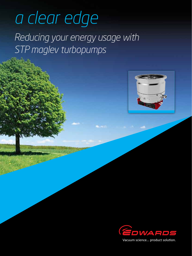# *a clear edge*

*reducing your energy usage with STP maglev turbopumps*





Vacuum science... product solution.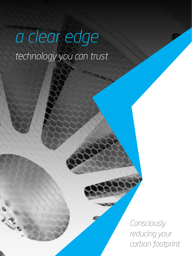# *a clear edge technology you can trust*

*Consciously reducing your carbon footprint*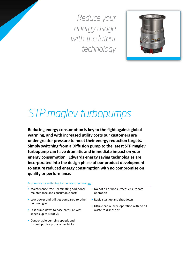*Reduce your energy usage with the latest technology* 



# *STP maglev turbopumps*

**Reducing energy consumption is key to the fight against global warming, and with increased utility costs our customers are under greater pressure to meet their energy reduction targets. Simply switching from a Diffusion pump to the latest STP maglev turbopump can have dramatic and immediate impact on your energy consumption. Edwards energy saving technologies are incorporated into the design phase of our product development to ensure reduced energy consumption with no compromise on quality or performance.** 

#### Economise by switching to the latest technology

- Maintenance free eliminating additional maintenance and consumable costs
- Low power and utilities compared to other technologies
- Fast pump down to base pressure with speeds up to 4500 l/s
- • Controllable pumping speeds and throughput for process flexibility
- • No hot oil or hot surfaces ensure safe operation
- • Rapid start up and shut down
- Ultra clean oil-free operation with no oil waste to dispose of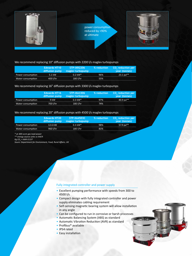

#### We recommend replacing 10" diffusion pumps with 2200 l/s maglev turbopumps

|                   | <b>Edwards HT10</b><br>diffusion pump | STP-iXR2206<br>magley turbopump | % reduction | CO, reduction per<br>year (tonnes) |
|-------------------|---------------------------------------|---------------------------------|-------------|------------------------------------|
| Power consumption | 5.1 kW                                | $0.2$ kW <sup>*</sup>           | 96%         | $23.1$ pa**                        |
| Water consumption | 400 l/hr                              | $180$ l/hr                      | 55%         |                                    |

#### We recommend replacing 16" diffusion pumps with 3300 l/s maglev turbopumps

|                   | Edwards HT16<br>diffusion pump | STP-iXA3306<br>magley turbopump | % reduction | CO <sub>s</sub> reduction per<br>year (tonnes) |
|-------------------|--------------------------------|---------------------------------|-------------|------------------------------------------------|
| Power consumption | 9 kW                           | $0.3$ kW <sup>*</sup>           | 97%         | 40.9 $pa**$                                    |
| Water consumption | 700 l/hr                       | 180 l/hr                        | 74%         |                                                |

#### We recommend replacing 20" diffusion pumps with 4500 l/s maglev turbopumps

|                   | <b>Edwards HT20</b><br>diffusion pump | STP-XA4503C<br>magley turbopump | % reduction | CO <sub>s</sub> reduction per<br>year (tonnes) |
|-------------------|---------------------------------------|---------------------------------|-------------|------------------------------------------------|
| Power consumption | 12.6 kW                               | $0.3$ kW <sup>*</sup>           | 98%         | 57.9 pa**                                      |
| Water consumption | 960 l/hr                              | $180$ l/hr                      | 81%         |                                                |

*\* at 300 sccm gas load power*

*\*\* energy source units vs kW/h*

*Kg CO2 = kWh 0.537*

*Soure: Department for Environment, Food, Rural Affairs, UK*

#### Fully integrated controller and power supply

- • Excellent pumping performance with speeds from 300 to 4500 l/s
- • Compact design with fully integrated controller and power supply eliminates cabling requirement
- Self-sensing magnetic bearing system will allow installation in any angle
- Can be configured to run in corrosive or harsh processes
- • Automatic Balancing System (ABS) as standard
- Automatic Vibration Reduction (AVR) as standard
- • Profibus® available
- • IP54 rated
- Easy installation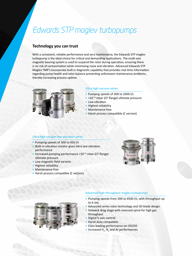## *Edwards STP maglev turbopumps*

#### **Technology you can trust**

With a consistent, reliable performance and zero maintenance, the Edwards STP maglev turbopump is the ideal choice for critical and demanding applications. The multi-axis magnetic bearing system is used to suspend the rotor during operation, ensuring there is no risk of contamination while minimising noise and vibration. Advanced Edwards STP Maglev TMP's incorporate built in diagnostic capability that provides real-time information regarding pump health and rotor balance preventing unforeseen maintenance problems, thereby increasing process uptime.



#### Ultra high vacuum series

- • Pumping speeds of 300 to 1000 l/s
- <10-10 mbar (CF flange) ultimate pressure
- Low vibration
- **Highest reliability**
- Maintenance free
- Harsh process compatible (C version)

#### Ultra high vacuum low vibration series

- • Pumping speeds of 300 to 450 l/s
- • Built-in vibration isolator gives ultra low vibration performance
- $\bullet$  Increased pumping performance <10 $\rm ^{10}$  mbar (CF flange) ultimate pressure
- Low magnetic field variants
- • Highest reliability
- Maintenance free
- Harsh process compatible (C version)





#### Advanced high throughput maglev turbopumps

- Pumping speeds from 300 to 4500 l/s, with throughput up to 6 slm.
- Advanced series rotor technology and 3D blade design
- Holweck drag stage with reversed spiral for high gas throughput
- Digital 5-axis control
- Harsh duty compatible
- Class leading performance on ISO250
- Increased  $H_2$ ,  $N_2$  and Ar performances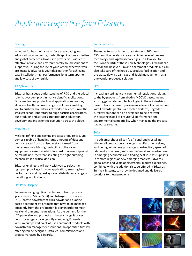# *Application expertise from Edwards*

#### **Coating**

Whether for batch or large surface area coating, our advanced vacuum pumps, in-depth applications expertise and global presence allows us to provide you with costeffective, reliable and environmentally sound solutions to support you during the life of your system wherever you are located. Edwards is your ideal partner for achieving easy installation, high performance, long term uptime, and low cost of ownership.

#### R&D/Scientific

Edwards has a deep understanding of R&D and the critical role that vacuum plays in many scientific applications. Our class leading products and application know-how, allows us to offer a broad range of solutions enabling you to push the boundaries of modern science. From the smallest school laboratory to huge particle accelerators, our products and services are facilitating education, development and scientific evolution across the globe.

#### **Metallurgy**

Melting, refining and casting processes require vacuum pumps capable of handling large amounts of dust and debris created from oxidised metals formed from the ceramic moulds. High reliability of the vacuum equipment is essential whilst low cost of ownership must be maintained, therefore selecting the right pumping mechanism is a critical decision.

Edwards engineers will work with you to select the right pump package for your application, ensuring best performance and highest system reliability for a range of metallurgy applications.

#### Flat Panel Display

Processes using significant volumes of harsh process gases, such as Silane (SiH4) and Nitrogen Tri-Flouride (NF3), create downstream silica powder and fluorine based abatement by-products that have to be managed efficiently from the production facility in order to meet local environmental regulations. As the demand for the LCD panel size and product attributes change it drives new process gas challenges. By combining Edwards vacuum pumps and point-of-use abatement products with downstream management solutions, an optimised turnkey offering can be designed, installed, commissioned and project managed by Edwards.

#### Semiconductor

The move towards larger substrates, e.g. 300mm to 450mm silicon wafers, creates a higher level of process technology and logistical challenges. To allow you to focus on the R&D of these new technologies, Edwards can provide the best vacuum and abatement products but can also take care of the hook-up, product facilitisation and the waste downstream gas and liquid management, as a one vendor produced solution.

#### LED

Increasingly stringent environmental regulations relating to the by-products from abating MOCVD gases, means existing gas abatement technologies in these industries have to have increased performance levels. In conjunction with Edwards SpectraG air-cooled systems, upgraded turnkey solutions can be developed to help retrofit the existing install to ensure full performance and environmental compatibility when managing the process gas waste streams.

#### Solar

In both amorphous silicon (a-Si) panel and crystalline silicon cell production, challenges manifest themselves, such as higher volume process gas destruction, speed of fab production ramp, sufficient technical knowledge base in emerging economies and finding best-in-class suppliers in remote regions or new emerging markets. Edwards global reach and years of electronics' market experience, combined with the additional scope offered in Edwards Turnkey Systems, can provide designed and delivered solutions to these problems.









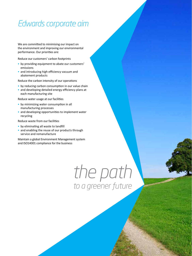## *Edwards corporate aim*

We are committed to minimising our impact on the environment and improving our environmental performance. Our priorities are:

Reduce our customers' carbon footprints

- by providing equipment to abate our customers' emissions
- and introducing high efficiency vacuum and abatement products

Reduce the carbon intensity of our operations

- by reducing carbon consumption in our value chain
- and developing detailed energy efficiency plans at each manufacturing site

Reduce water usage at our facilities

- by minimizing water consumption in all manufacturing processes
- and developing opportunities to implement water recycling

Reduce waste from our facilities

- by eliminating all waste to landfill
- and enabling the reuse of our products through service and remanufacture

Maintain a global Environment Management system and ISO14001 compliance for the business

> *the path to a greener future*